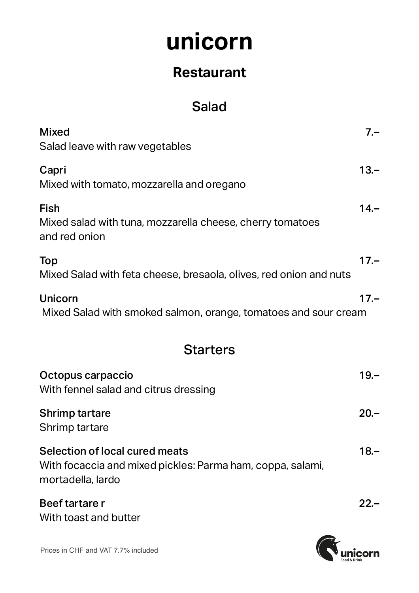### **Restaurant**

### Salad

| <b>Mixed</b><br>Salad leave with raw vegetables                                                                   | $7 -$  |
|-------------------------------------------------------------------------------------------------------------------|--------|
| Capri<br>Mixed with tomato, mozzarella and oregano                                                                | $13 -$ |
| Fish<br>Mixed salad with tuna, mozzarella cheese, cherry tomatoes<br>and red onion                                | $14 -$ |
| Top<br>Mixed Salad with feta cheese, bresaola, olives, red onion and nuts                                         | $17 -$ |
| <b>Unicorn</b><br>Mixed Salad with smoked salmon, orange, tomatoes and sour cream                                 | $17 -$ |
| <b>Starters</b>                                                                                                   |        |
| Octopus carpaccio<br>With fennel salad and citrus dressing                                                        | $19 -$ |
| <b>Shrimp tartare</b><br>Shrimp tartare                                                                           | $20 -$ |
| Selection of local cured meats<br>With focaccia and mixed pickles: Parma ham, coppa, salami,<br>mortadella, lardo | $18 -$ |
| Beef tartare r<br>With toast and butter                                                                           | $22 -$ |



Prices in CHF and VAT 7.7% included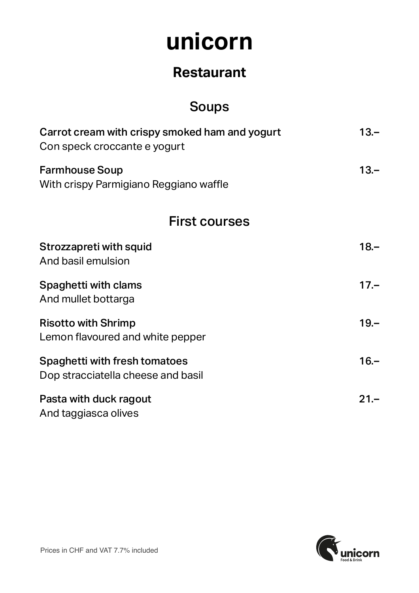### **Restaurant**

### Soups

| Carrot cream with crispy smoked ham and yogurt<br>Con speck croccante e yogurt | $13 -$ |
|--------------------------------------------------------------------------------|--------|
| <b>Farmhouse Soup</b><br>With crispy Parmigiano Reggiano waffle                | $13 -$ |
| <b>First courses</b>                                                           |        |
| Strozzapreti with squid<br>And basil emulsion                                  | $18 -$ |
| <b>Spaghetti with clams</b><br>And mullet bottarga                             | $17 -$ |
| <b>Risotto with Shrimp</b><br>Lemon flavoured and white pepper                 | $19 -$ |
| Spaghetti with fresh tomatoes<br>Dop stracciatella cheese and basil            | $16 -$ |
| Pasta with duck ragout<br>And taggiasca olives                                 | $21 -$ |

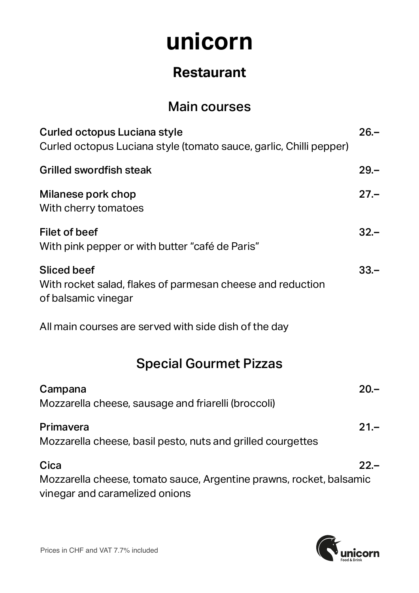### **Restaurant**

#### Main courses

| Curled octopus Luciana style<br>Curled octopus Luciana style (tomato sauce, garlic, Chilli pepper)            | $26 -$ |
|---------------------------------------------------------------------------------------------------------------|--------|
| Grilled swordfish steak                                                                                       | $29 -$ |
| Milanese pork chop<br>With cherry tomatoes                                                                    | $27 -$ |
| <b>Filet of beef</b><br>With pink pepper or with butter "café de Paris"                                       | $32 -$ |
| <b>Sliced beef</b><br>With rocket salad, flakes of parmesan cheese and reduction<br>of balsamic vinegar       | $33 -$ |
| All main courses are served with side dish of the day                                                         |        |
| <b>Special Gourmet Pizzas</b>                                                                                 |        |
| Campana<br>Mozzarella cheese, sausage and friarelli (broccoli)                                                | $20 -$ |
| Primavera<br>Mozzarella cheese, basil pesto, nuts and grilled courgettes                                      | $21 -$ |
| Cica<br>Mozzarella cheese, tomato sauce, Argentine prawns, rocket, balsamic<br>vinegar and caramelized onions | $22 -$ |